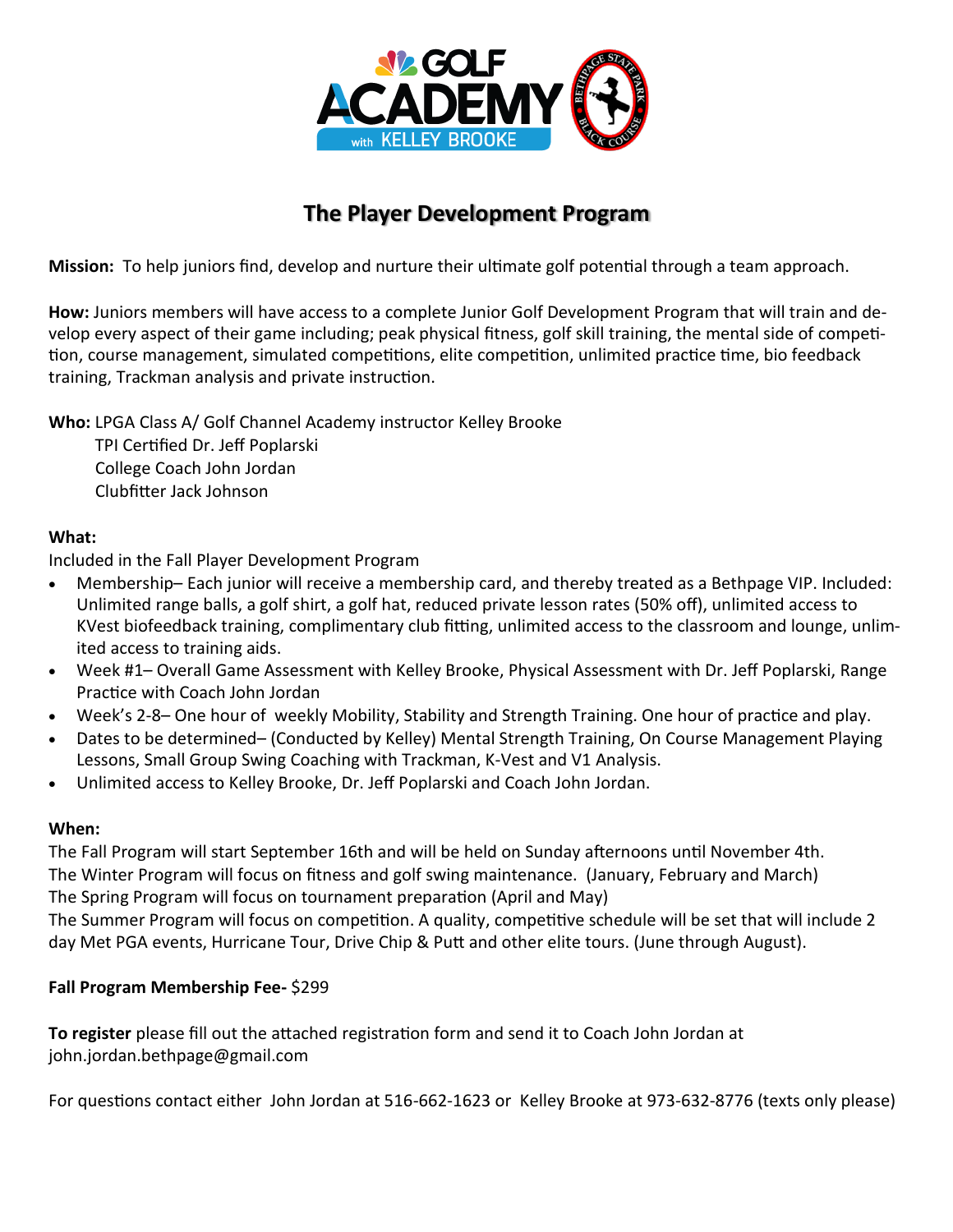

## **The Player Development Program**

**Mission:** To help juniors find, develop and nurture their ultimate golf potential through a team approach.

**How:** Juniors members will have access to a complete Junior Golf Development Program that will train and develop every aspect of their game including; peak physical fitness, golf skill training, the mental side of competition, course management, simulated competitions, elite competition, unlimited practice time, bio feedback training, Trackman analysis and private instruction.

**Who:** LPGA Class A/ Golf Channel Academy instructor Kelley Brooke

 TPI Certified Dr. Jeff Poplarski College Coach John Jordan Clubfitter Jack Johnson

## **What:**

Included in the Fall Player Development Program

- Membership– Each junior will receive a membership card, and thereby treated as a Bethpage VIP. Included: Unlimited range balls, a golf shirt, a golf hat, reduced private lesson rates (50% off), unlimited access to KVest biofeedback training, complimentary club fitting, unlimited access to the classroom and lounge, unlimited access to training aids.
- Week #1– Overall Game Assessment with Kelley Brooke, Physical Assessment with Dr. Jeff Poplarski, Range Practice with Coach John Jordan
- Week's 2-8– One hour of weekly Mobility, Stability and Strength Training. One hour of practice and play.
- Dates to be determined– (Conducted by Kelley) Mental Strength Training, On Course Management Playing Lessons, Small Group Swing Coaching with Trackman, K-Vest and V1 Analysis.
- Unlimited access to Kelley Brooke, Dr. Jeff Poplarski and Coach John Jordan.

## **When:**

The Fall Program will start September 16th and will be held on Sunday afternoons until November 4th. The Winter Program will focus on fitness and golf swing maintenance. (January, February and March) The Spring Program will focus on tournament preparation (April and May)

The Summer Program will focus on competition. A quality, competitive schedule will be set that will include 2 day Met PGA events, Hurricane Tour, Drive Chip & Putt and other elite tours. (June through August).

## **Fall Program Membership Fee-** \$299

**To register** please fill out the attached registration form and send it to Coach John Jordan at john.jordan.bethpage@gmail.com

For questions contact either John Jordan at 516-662-1623 or Kelley Brooke at 973-632-8776 (texts only please)